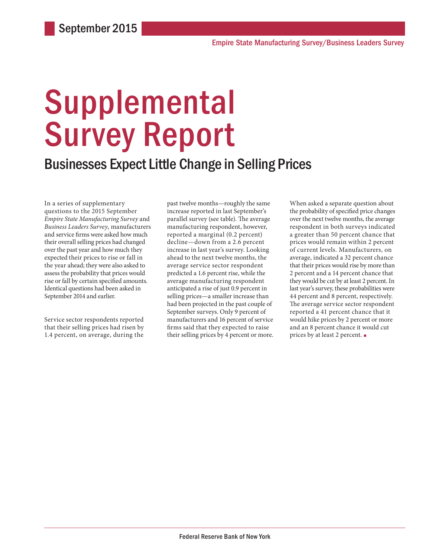# **Supplemental** Survey Report

### Businesses Expect Little Change in Selling Prices

In a series of supplementary questions to the 2015 September *Empire State Manufacturing Survey* and *Business Leaders Survey*, manufacturers and service firms were asked how much their overall selling prices had changed over the past year and how much they expected their prices to rise or fall in the year ahead; they were also asked to assess the probability that prices would rise or fall by certain specified amounts. Identical questions had been asked in September 2014 and earlier.

Service sector respondents reported that their selling prices had risen by 1.4 percent, on average, during the

past twelve months—roughly the same increase reported in last September's parallel survey (see table). The average manufacturing respondent, however, reported a marginal (0.2 percent) decline—down from a 2.6 percent increase in last year's survey. Looking ahead to the next twelve months, the average service sector respondent predicted a 1.6 percent rise, while the average manufacturing respondent anticipated a rise of just 0.9 percent in selling prices—a smaller increase than had been projected in the past couple of September surveys. Only 9 percent of manufacturers and 16 percent of service firms said that they expected to raise their selling prices by 4 percent or more. When asked a separate question about the probability of specified price changes over the next twelve months, the average respondent in both surveys indicated a greater than 50 percent chance that prices would remain within 2 percent of current levels. Manufacturers, on average, indicated a 32 percent chance that their prices would rise by more than 2 percent and a 14 percent chance that they would be cut by at least 2 percent. In last year's survey, these probabilities were 44 percent and 8 percent, respectively. The average service sector respondent reported a 41 percent chance that it would hike prices by 2 percent or more and an 8 percent chance it would cut prices by at least 2 percent. ■